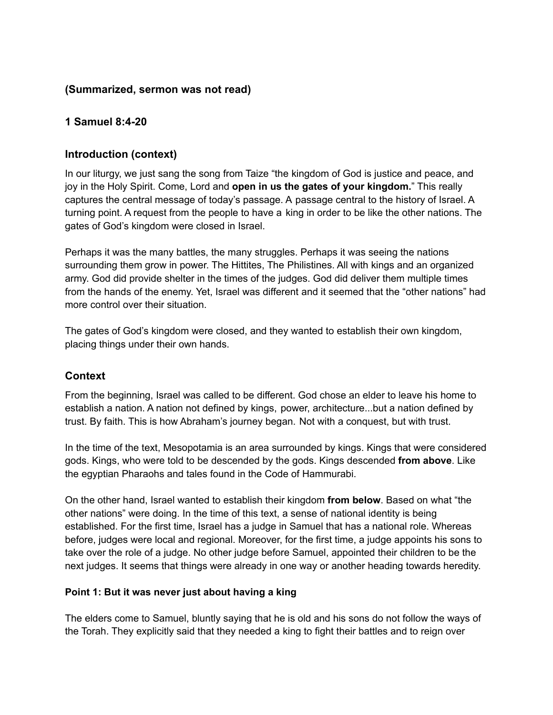### **(Summarized, sermon was not read)**

# **1 Samuel 8:4-20**

## **Introduction (context)**

In our liturgy, we just sang the song from Taize "the kingdom of God is justice and peace, and joy in the Holy Spirit. Come, Lord and **open in us the gates of your kingdom.**" This really captures the central message of today's passage. A passage central to the history of Israel. A turning point. A request from the people to have a king in order to be like the other nations. The gates of God's kingdom were closed in Israel.

Perhaps it was the many battles, the many struggles. Perhaps it was seeing the nations surrounding them grow in power. The Hittites, The Philistines. All with kings and an organized army. God did provide shelter in the times of the judges. God did deliver them multiple times from the hands of the enemy. Yet, Israel was different and it seemed that the "other nations" had more control over their situation.

The gates of God's kingdom were closed, and they wanted to establish their own kingdom, placing things under their own hands.

#### **Context**

From the beginning, Israel was called to be different. God chose an elder to leave his home to establish a nation. A nation not defined by kings, power, architecture...but a nation defined by trust. By faith. This is how Abraham's journey began. Not with a conquest, but with trust.

In the time of the text, Mesopotamia is an area surrounded by kings. Kings that were considered gods. Kings, who were told to be descended by the gods. Kings descended **from above**. Like the egyptian Pharaohs and tales found in the Code of Hammurabi.

On the other hand, Israel wanted to establish their kingdom **from below**. Based on what "the other nations" were doing. In the time of this text, a sense of national identity is being established. For the first time, Israel has a judge in Samuel that has a national role. Whereas before, judges were local and regional. Moreover, for the first time, a judge appoints his sons to take over the role of a judge. No other judge before Samuel, appointed their children to be the next judges. It seems that things were already in one way or another heading towards heredity.

#### **Point 1: But it was never just about having a king**

The elders come to Samuel, bluntly saying that he is old and his sons do not follow the ways of the Torah. They explicitly said that they needed a king to fight their battles and to reign over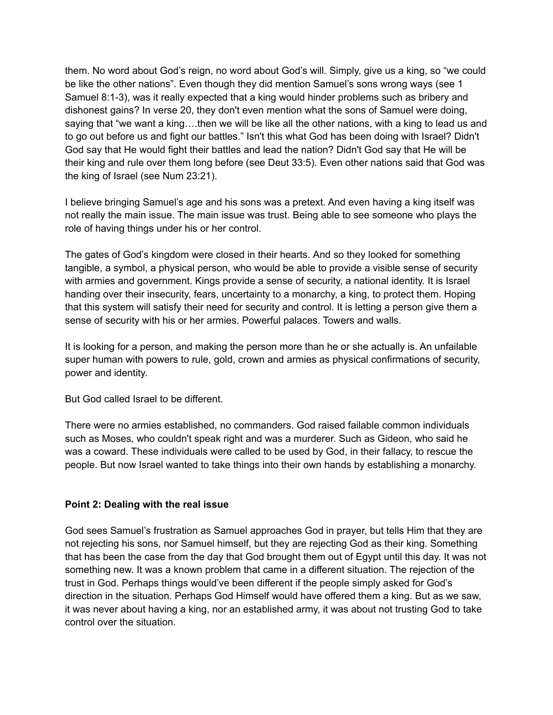them. No word about God's reign, no word about God's will. Simply, give us a king, so "we could be like the other nations". Even though they did mention Samuel's sons wrong ways (see 1 Samuel 8:1-3), was it really expected that a king would hinder problems such as bribery and dishonest gains? In verse 20, they don't even mention what the sons of Samuel were doing, saying that "we want a king….then we will be like all the other nations, with a king to lead us and to go out before us and fight our battles." Isn't this what God has been doing with Israel? Didn't God say that He would fight their battles and lead the nation? Didn't God say that He will be their king and rule over them long before (see Deut 33:5). Even other nations said that God was the king of Israel (see Num 23:21).

I believe bringing Samuel's age and his sons was a pretext. And even having a king itself was not really the main issue. The main issue was trust. Being able to see someone who plays the role of having things under his or her control.

The gates of God's kingdom were closed in their hearts. And so they looked for something tangible, a symbol, a physical person, who would be able to provide a visible sense of security with armies and government. Kings provide a sense of security, a national identity. It is Israel handing over their insecurity, fears, uncertainty to a monarchy, a king, to protect them. Hoping that this system will satisfy their need for security and control. It is letting a person give them a sense of security with his or her armies. Powerful palaces. Towers and walls.

It is looking for a person, and making the person more than he or she actually is. An unfailable super human with powers to rule, gold, crown and armies as physical confirmations of security, power and identity.

But God called Israel to be different.

There were no armies established, no commanders. God raised failable common individuals such as Moses, who couldn't speak right and was a murderer. Such as Gideon, who said he was a coward. These individuals were called to be used by God, in their fallacy, to rescue the people. But now Israel wanted to take things into their own hands by establishing a monarchy.

#### **Point 2: Dealing with the real issue**

God sees Samuel's frustration as Samuel approaches God in prayer, but tells Him that they are not rejecting his sons, nor Samuel himself, but they are rejecting God as their king. Something that has been the case from the day that God brought them out of Egypt until this day. It was not something new. It was a known problem that came in a different situation. The rejection of the trust in God. Perhaps things would've been different if the people simply asked for God's direction in the situation. Perhaps God Himself would have offered them a king. But as we saw, it was never about having a king, nor an established army, it was about not trusting God to take control over the situation.